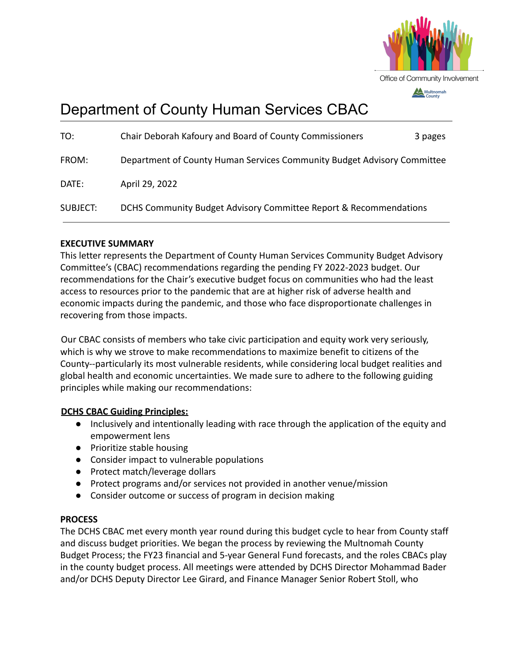

# Department of County Human Services CBAC

| TO:             | Chair Deborah Kafoury and Board of County Commissioners                 | 3 pages |
|-----------------|-------------------------------------------------------------------------|---------|
| FROM:           | Department of County Human Services Community Budget Advisory Committee |         |
| DATE:           | April 29, 2022                                                          |         |
| <b>SUBJECT:</b> | DCHS Community Budget Advisory Committee Report & Recommendations       |         |

## **EXECUTIVE SUMMARY**

This letter represents the Department of County Human Services Community Budget Advisory Committee's (CBAC) recommendations regarding the pending FY 2022-2023 budget. Our recommendations for the Chair's executive budget focus on communities who had the least access to resources prior to the pandemic that are at higher risk of adverse health and economic impacts during the pandemic, and those who face disproportionate challenges in recovering from those impacts.

Our CBAC consists of members who take civic participation and equity work very seriously, which is why we strove to make recommendations to maximize benefit to citizens of the County--particularly its most vulnerable residents, while considering local budget realities and global health and economic uncertainties. We made sure to adhere to the following guiding principles while making our recommendations:

### **DCHS CBAC Guiding Principles:**

- Inclusively and intentionally leading with race through the application of the equity and empowerment lens
- Prioritize stable housing
- Consider impact to vulnerable populations
- Protect match/leverage dollars
- Protect programs and/or services not provided in another venue/mission
- Consider outcome or success of program in decision making

### **PROCESS**

The DCHS CBAC met every month year round during this budget cycle to hear from County staff and discuss budget priorities. We began the process by reviewing the Multnomah County Budget Process; the FY23 financial and 5-year General Fund forecasts, and the roles CBACs play in the county budget process. All meetings were attended by DCHS Director Mohammad Bader and/or DCHS Deputy Director Lee Girard, and Finance Manager Senior Robert Stoll, who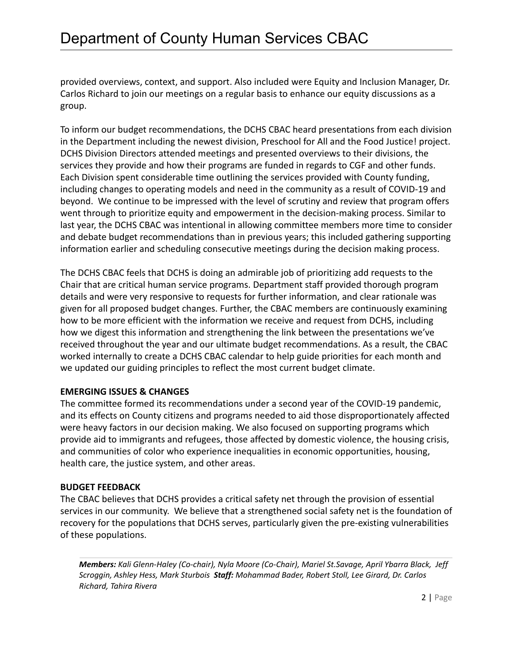provided overviews, context, and support. Also included were Equity and Inclusion Manager, Dr. Carlos Richard to join our meetings on a regular basis to enhance our equity discussions as a group.

To inform our budget recommendations, the DCHS CBAC heard presentations from each division in the Department including the newest division, Preschool for All and the Food Justice! project. DCHS Division Directors attended meetings and presented overviews to their divisions, the services they provide and how their programs are funded in regards to CGF and other funds. Each Division spent considerable time outlining the services provided with County funding, including changes to operating models and need in the community as a result of COVID-19 and beyond. We continue to be impressed with the level of scrutiny and review that program offers went through to prioritize equity and empowerment in the decision-making process. Similar to last year, the DCHS CBAC was intentional in allowing committee members more time to consider and debate budget recommendations than in previous years; this included gathering supporting information earlier and scheduling consecutive meetings during the decision making process.

The DCHS CBAC feels that DCHS is doing an admirable job of prioritizing add requests to the Chair that are critical human service programs. Department staff provided thorough program details and were very responsive to requests for further information, and clear rationale was given for all proposed budget changes. Further, the CBAC members are continuously examining how to be more efficient with the information we receive and request from DCHS, including how we digest this information and strengthening the link between the presentations we've received throughout the year and our ultimate budget recommendations. As a result, the CBAC worked internally to create a DCHS CBAC calendar to help guide priorities for each month and we updated our guiding principles to reflect the most current budget climate.

### **EMERGING ISSUES & CHANGES**

The committee formed its recommendations under a second year of the COVID-19 pandemic, and its effects on County citizens and programs needed to aid those disproportionately affected were heavy factors in our decision making. We also focused on supporting programs which provide aid to immigrants and refugees, those affected by domestic violence, the housing crisis, and communities of color who experience inequalities in economic opportunities, housing, health care, the justice system, and other areas.

### **BUDGET FEEDBACK**

The CBAC believes that DCHS provides a critical safety net through the provision of essential services in our community. We believe that a strengthened social safety net is the foundation of recovery for the populations that DCHS serves, particularly given the pre-existing vulnerabilities of these populations.

*Members: Kali Glenn-Haley (Co-chair), Nyla Moore (Co-Chair), Mariel St.Savage, April Ybarra Black, Jeff Scroggin, Ashley Hess, Mark Sturbois Staff: Mohammad Bader, Robert Stoll, Lee Girard, Dr. Carlos Richard, Tahira Rivera*